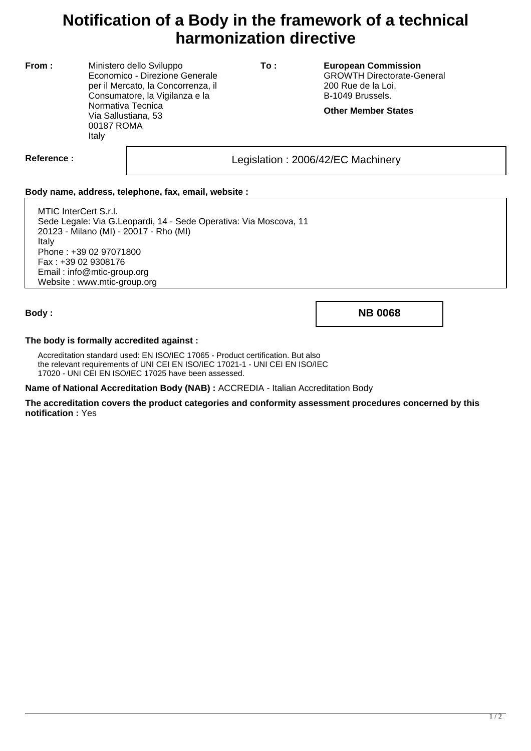## **Notification of a Body in the framework of a technical harmonization directive**

**From :** Ministero dello Sviluppo Economico - Direzione Generale per il Mercato, la Concorrenza, il Consumatore, la Vigilanza e la Normativa Tecnica Via Sallustiana, 53 00187 ROMA Italy

**To : European Commission** GROWTH Directorate-General 200 Rue de la Loi, B-1049 Brussels.

**Other Member States**

Reference : and the set of the contract of the Legislation : 2006/42/EC Machinery

## **Body name, address, telephone, fax, email, website :**

MTIC InterCert S.r.l. Sede Legale: Via G.Leopardi, 14 - Sede Operativa: Via Moscova, 11 20123 - Milano (MI) - 20017 - Rho (MI) Italy Phone : +39 02 97071800 Fax : +39 02 9308176 Email : info@mtic-group.org Website : www.mtic-group.org

**Body : NB 0068**

## **The body is formally accredited against :**

Accreditation standard used: EN ISO/IEC 17065 - Product certification. But also the relevant requirements of UNI CEI EN ISO/IEC 17021-1 - UNI CEI EN ISO/IEC 17020 - UNI CEI EN ISO/IEC 17025 have been assessed.

**Name of National Accreditation Body (NAB) :** ACCREDIA - Italian Accreditation Body

**The accreditation covers the product categories and conformity assessment procedures concerned by this notification :** Yes